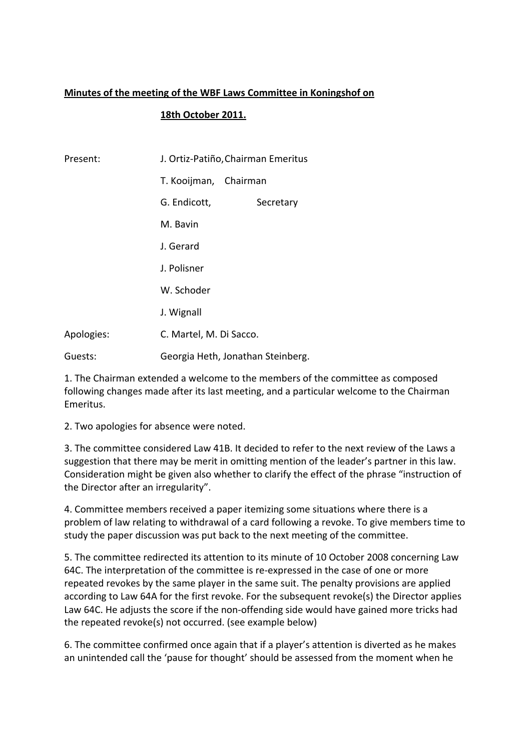# **Minutes of the meeting of the WBF Laws Committee in Koningshof on**

# **18th October 2011.**

| Present:   | J. Ortiz-Patiño, Chairman Emeritus |  |  |  |
|------------|------------------------------------|--|--|--|
|            | T. Kooijman, Chairman              |  |  |  |
|            | G. Endicott,<br>Secretary          |  |  |  |
|            | M. Bavin                           |  |  |  |
|            | J. Gerard                          |  |  |  |
|            | J. Polisner                        |  |  |  |
|            | W. Schoder                         |  |  |  |
|            | J. Wignall                         |  |  |  |
| Apologies: | C. Martel, M. Di Sacco.            |  |  |  |
| Guests:    | Georgia Heth, Jonathan Steinberg.  |  |  |  |

1. The Chairman extended a welcome to the members of the committee as composed following changes made after its last meeting, and a particular welcome to the Chairman Emeritus.

2. Two apologies for absence were noted.

3. The committee considered Law 41B. It decided to refer to the next review of the Laws a suggestion that there may be merit in omitting mention of the leader's partner in this law. Consideration might be given also whether to clarify the effect of the phrase "instruction of the Director after an irregularity".

4. Committee members received a paper itemizing some situations where there is a problem of law relating to withdrawal of a card following a revoke. To give members time to study the paper discussion was put back to the next meeting of the committee.

5. The committee redirected its attention to its minute of 10 October 2008 concerning Law 64C. The interpretation of the committee is re‐expressed in the case of one or more repeated revokes by the same player in the same suit. The penalty provisions are applied according to Law 64A for the first revoke. For the subsequent revoke(s) the Director applies Law 64C. He adjusts the score if the non-offending side would have gained more tricks had the repeated revoke(s) not occurred. (see example below)

6. The committee confirmed once again that if a player's attention is diverted as he makes an unintended call the 'pause for thought' should be assessed from the moment when he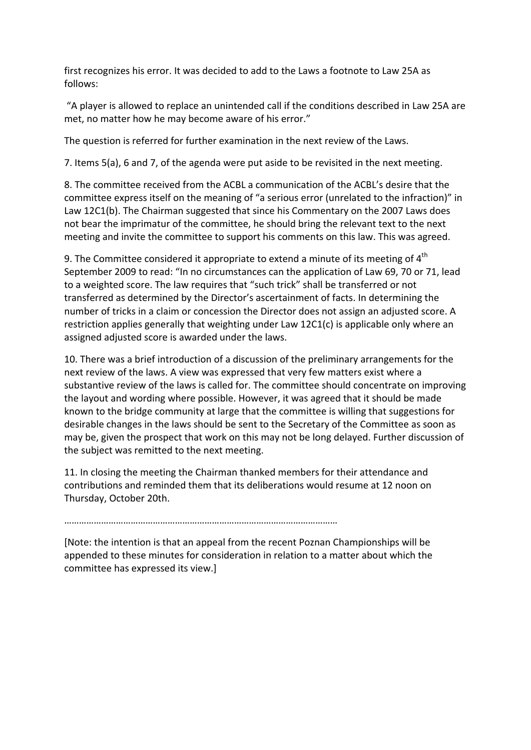first recognizes his error. It was decided to add to the Laws a footnote to Law 25A as follows:

"A player is allowed to replace an unintended call if the conditions described in Law 25A are met, no matter how he may become aware of his error."

The question is referred for further examination in the next review of the Laws.

7. Items 5(a), 6 and 7, of the agenda were put aside to be revisited in the next meeting.

8. The committee received from the ACBL a communication of the ACBL's desire that the committee express itself on the meaning of "a serious error (unrelated to the infraction)" in Law 12C1(b). The Chairman suggested that since his Commentary on the 2007 Laws does not bear the imprimatur of the committee, he should bring the relevant text to the next meeting and invite the committee to support his comments on this law. This was agreed.

9. The Committee considered it appropriate to extend a minute of its meeting of  $4<sup>th</sup>$ September 2009 to read: "In no circumstances can the application of Law 69, 70 or 71, lead to a weighted score. The law requires that "such trick" shall be transferred or not transferred as determined by the Director's ascertainment of facts. In determining the number of tricks in a claim or concession the Director does not assign an adjusted score. A restriction applies generally that weighting under Law 12C1(c) is applicable only where an assigned adjusted score is awarded under the laws.

10. There was a brief introduction of a discussion of the preliminary arrangements for the next review of the laws. A view was expressed that very few matters exist where a substantive review of the laws is called for. The committee should concentrate on improving the layout and wording where possible. However, it was agreed that it should be made known to the bridge community at large that the committee is willing that suggestions for desirable changes in the laws should be sent to the Secretary of the Committee as soon as may be, given the prospect that work on this may not be long delayed. Further discussion of the subject was remitted to the next meeting.

11. In closing the meeting the Chairman thanked members for their attendance and contributions and reminded them that its deliberations would resume at 12 noon on Thursday, October 20th.

…………………………………………………………………………………………………

[Note: the intention is that an appeal from the recent Poznan Championships will be appended to these minutes for consideration in relation to a matter about which the committee has expressed its view.]